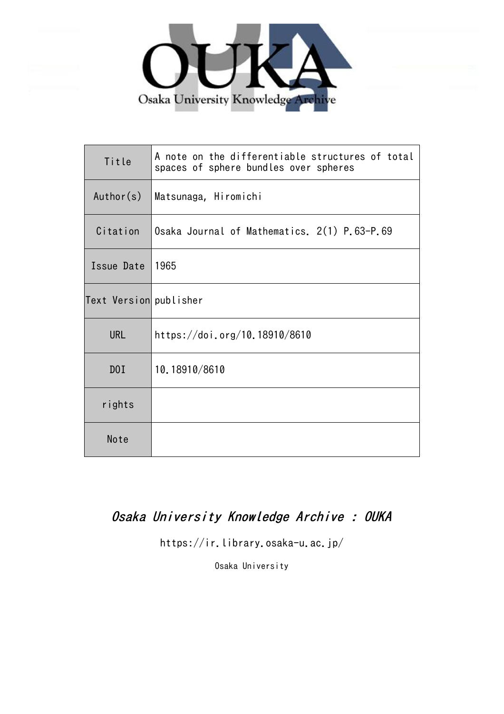

| Title                  | A note on the differentiable structures of total<br>spaces of sphere bundles over spheres |
|------------------------|-------------------------------------------------------------------------------------------|
| Author(s)              | Matsunaga, Hiromichi                                                                      |
| Citation               | Osaka Journal of Mathematics. 2(1) P.63-P.69                                              |
| Issue Date             | 1965                                                                                      |
| Text Version publisher |                                                                                           |
| <b>URL</b>             | https://doi.org/10.18910/8610                                                             |
| D0I                    | 10.18910/8610                                                                             |
| rights                 |                                                                                           |
| Note                   |                                                                                           |

# Osaka University Knowledge Archive : OUKA

https://ir.library.osaka-u.ac.jp/

Osaka University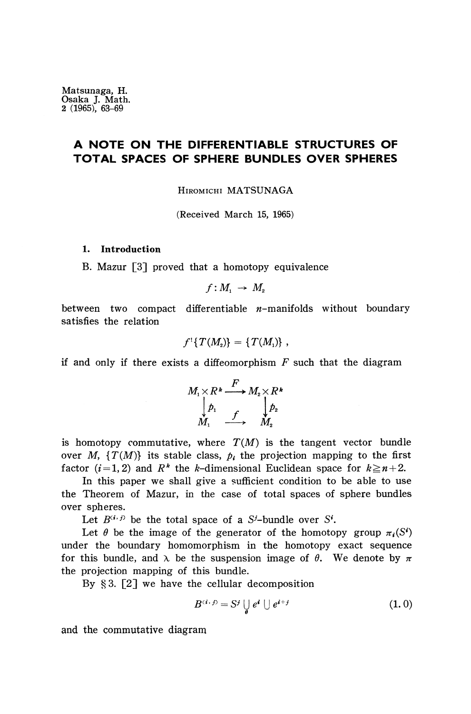## **A NOTE ON THE DIFFERENTIABLE STRUCTURES OF TOTAL SPACES OF SPHERE BUNDLES OVER SPHERES**

HIROMICHI MATSUNAGA

(Received March 15, 1965)

#### **1. Introduction**

B. Mazur [3] proved that a homotopy equivalence

$$
f:M_{1}\rightarrow M_{2}
$$

between two compact differentiable  $n$ -manifolds without boundary satisfies the relation

$$
f^1\{T(M_2)\}=\{T(M_1)\}\;
$$

if and only if there exists a diffeomorphism *F* such that the diagram

$$
M_1 \times R^* \xrightarrow{F} M_2 \times R^*
$$
  

$$
\downarrow{p_1} \qquad \qquad \downarrow{p_2}
$$
  

$$
M_1 \xrightarrow{f} M_2
$$

is homotopy commutative, where  $T(M)$  is the tangent vector bundle over  $M$ ,  $\{T(M)\}$  its stable class,  $p_i$  the projection mapping to the first factor  $(i = 1, 2)$  and  $R^k$  the *k*-dimensional Euclidean space for  $k \ge n + 2$ .

In this paper we shall give a sufficient condition to be able to use the Theorem of Mazur, in the case of total spaces of sphere bundles over spheres.

Let  $B^{(i,j)}$  be the total space of a S<sup>*i*</sup>-bundle over S<sup>*i*</sup>.

Let  $\theta$  be the image of the generator of the homotopy group  $\pi_i(S^i)$ under the boundary homomorphism in the homotopy exact sequence for this bundle, and λ be the suspension image of *θ.* We denote by *π* the projection mapping of this bundle.

By §3. [2] we have the cellular decomposition

$$
B^{(i, j)} = S^j \bigcup_{j} e^i \bigcup_{j} e^{i+j} \tag{1.0}
$$

and the commutative diagram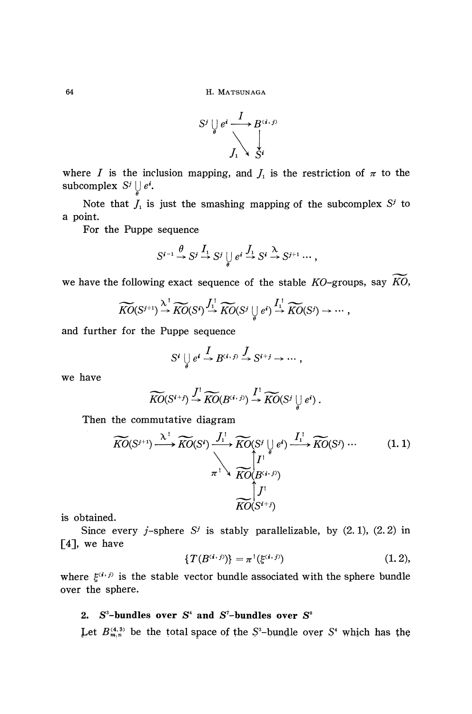

where *I* is the inclusion mapping, and  $J_1$  is the restriction of  $\pi$  to the  $subcomplex S<sup>j</sup> \cup e<sup>j</sup>$ .

Note that  $J_1$  is just the smashing mapping of the subcomplex  $S^j$  to a point.

For the Puppe sequence

$$
S^{i-1} \xrightarrow{\theta} S^j \xrightarrow{I_1} S^j \bigcup_{\theta} e^i \xrightarrow{J_1} S^i \xrightarrow{\lambda} S^{j+1} \cdots,
$$

we have the following exact sequence of the stable ΛΌ-groups, say *KO,*

$$
\widetilde{KO}(S^{j+1}) \stackrel{\lambda^1}{\rightarrow} \widetilde{KO}(S^j) \stackrel{\int_1^1}{\rightarrow} \widetilde{KO}(S^j \bigcup_{\theta} e^i) \stackrel{\int_1^1}{\rightarrow} \widetilde{KO}(S^j) \rightarrow \cdots,
$$

and further for the Puppe sequence

$$
S^i \bigcup_{\theta} e^i \xrightarrow{I} B^{(i, j)} \xrightarrow{J} S^{i+j} \to \cdots,
$$

we have

$$
\widetilde{KO}(S^{i+j}) \stackrel{\int^1}{\to} \widetilde{KO}(B^{(i,j)}) \stackrel{\int^1}{\to} \widetilde{KO}(S^j \bigcup_{\theta} e^i).
$$

Then the commutative diagram

$$
\widetilde{KO}(S^{j+1}) \xrightarrow{\lambda^1} \widetilde{KO}(S^i) \xrightarrow{f_1^1} \widetilde{KO}(S^j \cup \bigcup_{\pi^1} e^i) \xrightarrow{f_1^1} \widetilde{KO}(S^j) \cdots
$$
\n
$$
\begin{array}{c}\n\downarrow^1 \\
\uparrow^1 \\
\hline\n\end{array}\n\widetilde{KO}(S^{i+j})
$$
\n
$$
\begin{array}{c}\n\downarrow^1 \\
\downarrow^1 \\
\hline\n\end{array}\n\widetilde{KO}(S^{i+j})
$$
\n
$$
\begin{array}{c}\n\downarrow^1 \\
\downarrow^1 \\
\hline\n\end{array}\n\widetilde{KO}(S^{i+j})
$$
\n
$$
(1.1)
$$

is obtained.

Since every *j*-sphere  $S^j$  is stably parallelizable, by  $(2.1)$ ,  $(2.2)$  in [4], we have

$$
\{T(B^{(i,j)})\} = \pi^{\,1}(\xi^{(i,j)})\tag{1.2},
$$

where  $\xi^{(i,j)}$  is the stable vector bundle associated with the sphere bundle over the sphere.

## 2.  $S^3$ -bundles over  $S^4$  and  $S^7$ -bundles over  $S^8$

 $^{(4,3)}_{m,n}$  be the total space of the S<sup>3</sup>-bundle over S<sup>4</sup> which has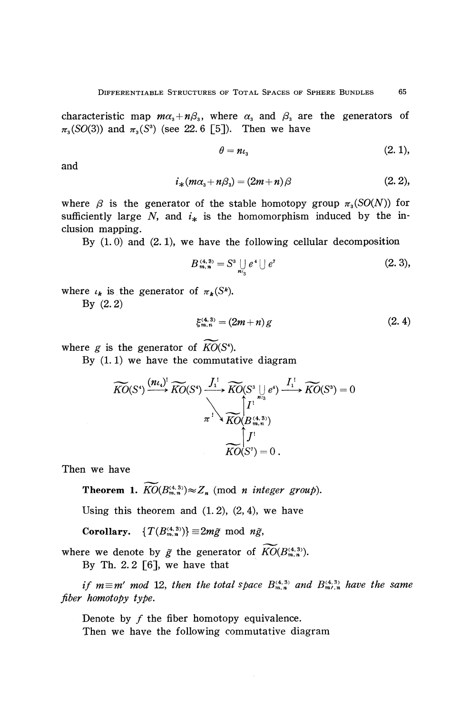characteristic map  $m\alpha_{\text{s}} + n\beta_{\text{s}}$ , where  $\alpha_{\text{s}}$  and  $\beta_{\text{s}}$  are the generators of  $\pi_3(SO(3))$  and  $\pi_3(S^3)$  (see 22.6 [5]). Then we have

$$
\theta = n \iota_{3} \tag{2.1},
$$

and

$$
i_{*}(m\alpha_{s}+n\beta_{s})=(2m+n)\beta
$$
 (2. 2),

where *β* is the generator of the stable homotopy group *π<sup>3</sup> (SO(N))* for sufficiently large  $N$ , and  $i_*$  is the homomorphism induced by the inclusion mapping.

By  $(1.0)$  and  $(2.1)$ , we have the following cellular decomposition

$$
B_{m,n}^{(4,3)} = S^3 \bigcup_{n_3} e^4 \bigcup e^7
$$
 (2. 3),

where  $\iota_k$  is the generator of  $\pi_k(S^k)$ .

By (2.2)

$$
\xi_{m,n}^{(4,3)} = (2m+n)g\tag{2.4}
$$

where  $g$  is the generator of  $KO(S^4)$ .

By  $(1.1)$  we have the commutative diagram

$$
\widetilde{KO}(S^*) \xrightarrow{\left(n\iota_*\right)^!} \widetilde{KO}(S^*) \xrightarrow{J_1^!} \widetilde{KO}(S^3 \bigcup_{m_3} e^*) \xrightarrow{I_1^!} \widetilde{KO}(S^3) = 0
$$
\n
$$
\pi^! \searrow \widetilde{KO}(B_{m,n}^{(4,3)})
$$
\n
$$
\widetilde{KO}(S^7) = 0.
$$

Then we have

**Theorem 1.**  $KO(B_{m,n}^{(4,3)}) \approx Z_n$  (mod *n integer group*).

Using this theorem and  $(1.2)$ ,  $(2, 4)$ , we have

**Corollary.**  $\{T(B_{m,n}^{(4,3)})\} \equiv 2m\tilde{g} \mod n\tilde{g}$ ,

where we denote by  $\tilde{g}$  the generator of  $K\tilde{O}(B_{m,n}^{(4,3)})$ . By Th. 2.2  $\lceil 6 \rceil$ , we have that

*if*  $m \equiv m'$  mod 12, then the total space  $B_{m,n}^{(4,3)}$  and  $B_{m',n}^{(4,3)}$  have the same *fiber homotopy type.*

Denote by  $f$  the fiber homotopy equivalence. Then we have the following commutative diagram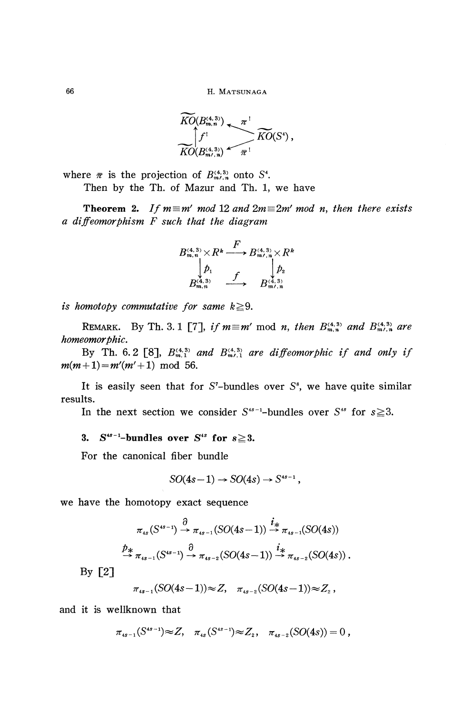66 H. MATSUNAGA

$$
\overline{KO}(B_{m,n}^{(4,3)}) \longrightarrow {\pi}^! \overline{KO}(S^4),
$$
  
\n
$$
\overline{KO}(B_{m/3}^{(4,3)}) \longrightarrow {\pi}^!
$$

where  $\bar{\pi}$  is the projection of  $B^{(4,3)}_{m\ell,n}$  onto S<sup>4</sup>.

Then by the Th. of Mazur and Th. 1, we have

**Theorem 2.** If  $m \equiv m'$  mod 12 and  $2m \equiv 2m'$  mod n, then there exists *a diffeomorphism F such that the diagram*

$$
B_{m,n}^{(4,3)} \times R^k \xrightarrow{F} B_{m\prime,n}^{(4,3)} \times R^k
$$
  
\n
$$
\downarrow{p_1}
$$
  
\n
$$
B_{m,n}^{(4,3)} \xrightarrow{f} B_{m\prime,n}^{(4,3)}
$$

*is homotopy commutative for same k* $\geq$ 9.

REMARK. By Th. 3. 1 [7], if  $m \equiv m' \mod n$ , then  $B_{m,n}^{(4,3)}$  and  $B_{m',n}^{(4,3)}$  are *homeomorphic.*

By Th. 6.2 [8],  $B_{m,1}^{(4,3)}$  and  $B_{m,1}^{(4,3)}$  are diffeomorphic if and only if  $m(m+1) = m'(m' + 1) \mod 56.$ 

It is easily seen that for  $S$ -bundles over  $S^s$ , we have quite similar results.

In the next section we consider  $S^{4s-1}$ -bundles over  $S^{4s}$  for  $s \ge 3$ .

### 3.  $S^{4s-1}$ -bundles over  $S^{4s}$  for  $s \ge 3$ .

For the canonical fiber bundle

$$
SO(4s-1) \rightarrow SO(4s) \rightarrow S^{4s-1},
$$

we have the homotopy exact sequence

$$
\pi_{4s}(S^{4s-1}) \stackrel{\partial}{\to} \pi_{4s-1}(SO(4s-1)) \stackrel{i_*}{\to} \pi_{4s-1}(SO(4s))
$$
  

$$
\stackrel{p_*}{\to} \pi_{4s-1}(S^{4s-1}) \stackrel{\partial}{\to} \pi_{4s-2}(SO(4s-1)) \stackrel{i_*}{\to} \pi_{4s-2}(SO(4s)) .
$$

By [2]

$$
\pi_{4s-1}(SO(4s-1)) \approx Z, \quad \pi_{4s-2}(SO(4s-1)) \approx Z_2,
$$

and it is wellknown that

$$
\pi_{4s-1}(S^{4s-1})\!\approx\!Z,\quad \pi_{4s}(S^{4s-1})\!\approx\!Z_2,\quad \pi_{4s-2}(SO(4s))=0,
$$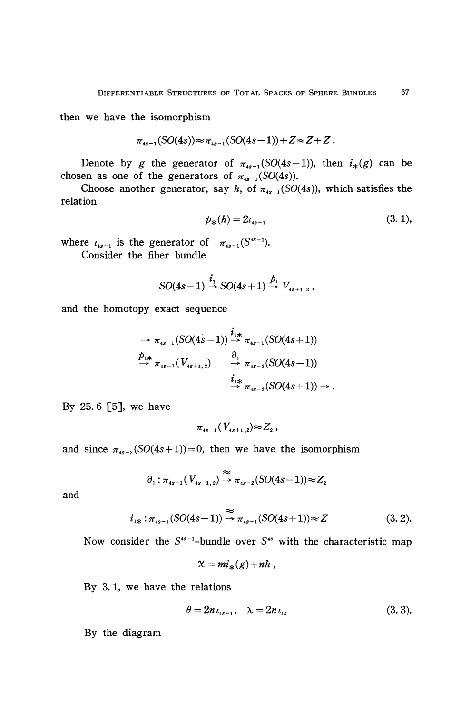then we have the isomorphism

$$
\pi_{4s-1}(SO(4s))\!\approx\!\pi_{4s-1}(SO(4s-1))+Z\!\approx\!Z\!+\!Z\,.
$$

Denote by *g* the generator of  $\pi_{4s-1}(SO(4s-1))$ , then  $i_*(g)$  can be chosen as one of the generators of  $\pi_{4s-1}(SO(4s))$ .

Choose another generator, say *h*, of  $\pi_{4s-1}(SO(4s))$ , which satisfies the relation

$$
p_*(h) = 2\iota_{4s-1} \tag{3.1},
$$

where  $\iota_{4s-1}$  is the generator of  $\pi_{4s-1}(S^{4s-1})$ . Consider the fiber bundle

$$
SO(4s-1)\stackrel{i_1}{\rightarrow} SO(4s+1)\stackrel{p_1}{\rightarrow} V_{4s+1,2}
$$

and the homotopy exact sequence

$$
\Rightarrow \pi_{4s-1}(SO(4s-1)) \xrightarrow{i_{1*}} \pi_{4s-1}(SO(4s+1))
$$
  
\n
$$
\xrightarrow{p_{1*}} \pi_{4s-1}(V_{4s+1,2}) \xrightarrow{\partial_1} \pi_{4s-2}(SO(4s-1))
$$
  
\n
$$
\xrightarrow{i_{1*}} \pi_{4s-2}(SO(4s+1)) \rightarrow .
$$

By 25. 6 [5], we have

$$
\pi_{\tiny{4s-1}}(V_{\tiny{4s+1,2}}) \!\!\approx\! Z_{\tiny{2}}\,,
$$

and since  $\pi_{4s-2}(SO(4s+1))=0$ , then we have the isomorphism

$$
\partial_1: \pi_{4s-1}(V_{4s+1,2}) \stackrel{\approx}{\to} \pi_{4s-2}(SO(4s-1)) \approx Z_2
$$

and

$$
i_{1*}: \pi_{4s-1}(SO(4s-1)) \stackrel{\approx}{\to} \pi_{4s-1}(SO(4s+1)) \approx Z \qquad (3.2).
$$

Now consider the S<sup>45-1</sup>-bundle over S<sup>45</sup> with the characteristic map

$$
\chi = mi_*(g)+nh,
$$

By 3.1, we have the relations

$$
\theta = 2n \iota_{4s-1}, \quad \lambda = 2n \iota_{4s} \tag{3.3}.
$$

By the diagram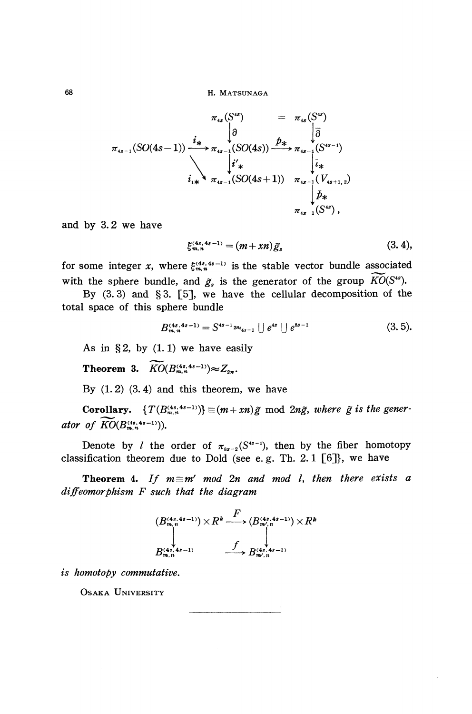68 H. MATSUNAGA

$$
\pi_{4s} (S^{4s}) = \pi_{4s} (S^{4s})
$$
\n
$$
\pi_{4s-1} (SO(4s-1)) \xrightarrow{i_*} \pi_{4s-1} (SO(4s)) \xrightarrow{\hat{p}_*} \pi_{4s-1} (S^{4s-1})
$$
\n
$$
\downarrow i'_*
$$
\n
$$
i_{1*} \xrightarrow{\pi_{4s-1} (SO(4s+1))} \pi_{4s-1} (V_{4s+1,2})
$$
\n
$$
\downarrow \vec{p}_*
$$
\n
$$
\pi_{4s-1} (S^{4s}),
$$

and by 3.2 we have

$$
\mathcal{E}_{\mathbf{m},\mathbf{n}}^{(4s,4s-1)} = (m+xn)\tilde{g}_s \tag{3.4},
$$

for some integer x, where  $\xi_{m,n}^{(4s,4s-1)}$  is the stable vector bundle associated with the sphere bundle, and  $\tilde{g}_s$  is the generator of the group  $KO(S^{ss})$ .

By (3.3) and §3. [5], we have the cellular decomposition of the total space of this sphere bundle

$$
B_{m,n}^{(4s,4s-1)} = S^{4s-1}2m_{4s-1} \cup e^{4s} \cup e^{8s-1}
$$
 (3.5).

As in §2, by  $(1.1)$  we have easily

**Theorem 3.**  $\widetilde{KO}(B_{m,n}^{(4s,4s-1)}) \approx Z_{2n}$ .

By  $(1, 2)$   $(3, 4)$  and this theorem, we have

**Corollary.**  $\{T(B_{m,n}^{(4s,4s-1)})\} \equiv (m + xn)\tilde{g} \mod 2n\tilde{g}$ , where  $\tilde{g}$  is the gener*ator of*  $\widetilde{KO}(B_{m,n}^{(4s,4s-1)}).$ 

Denote by *l* the order of  $\pi_{ss-2}(S^{4s-1})$ , then by the fiber homotopy classification theorem due to Dold (see e.g. Th. 2.1  $[6]$ ), we have

**Theorem 4.** If  $m \equiv m'$  mod  $2n$  and mod l, then there exists a *diffeomorphism F such that the diagram*



*is homotopy commutative.*

OSAKA UNIVERSITY